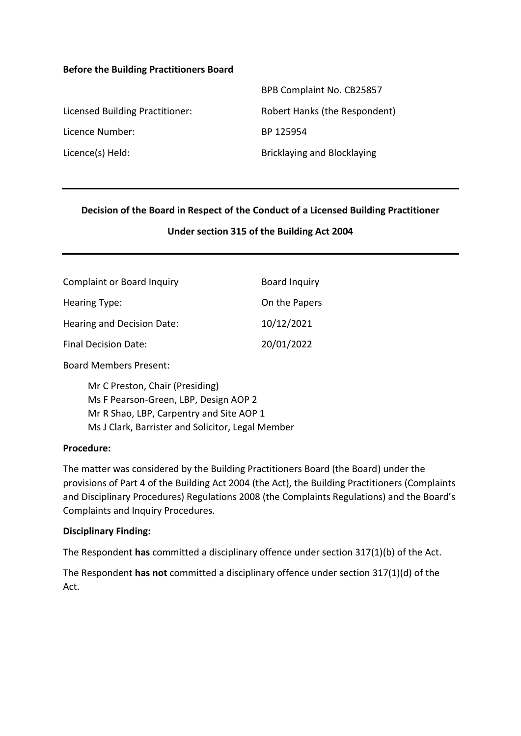#### **Before the Building Practitioners Board**

|                                 | BPB Complaint No. CB25857     |
|---------------------------------|-------------------------------|
| Licensed Building Practitioner: | Robert Hanks (the Respondent) |
| Licence Number:                 | BP 125954                     |
| Licence(s) Held:                | Bricklaying and Blocklaying   |

#### **Decision of the Board in Respect of the Conduct of a Licensed Building Practitioner**

#### **Under section 315 of the Building Act 2004**

| <b>Complaint or Board Inquiry</b> | Board Inquiry |
|-----------------------------------|---------------|
| Hearing Type:                     | On the Papers |
| Hearing and Decision Date:        | 10/12/2021    |
| <b>Final Decision Date:</b>       | 20/01/2022    |
|                                   |               |

Board Members Present:

Mr C Preston, Chair (Presiding) Ms F Pearson-Green, LBP, Design AOP 2 Mr R Shao, LBP, Carpentry and Site AOP 1 Ms J Clark, Barrister and Solicitor, Legal Member

#### **Procedure:**

The matter was considered by the Building Practitioners Board (the Board) under the provisions of Part 4 of the Building Act 2004 (the Act), the Building Practitioners (Complaints and Disciplinary Procedures) Regulations 2008 (the Complaints Regulations) and the Board's Complaints and Inquiry Procedures.

#### **Disciplinary Finding:**

The Respondent **has** committed a disciplinary offence under section 317(1)(b) of the Act.

The Respondent **has not** committed a disciplinary offence under section 317(1)(d) of the Act.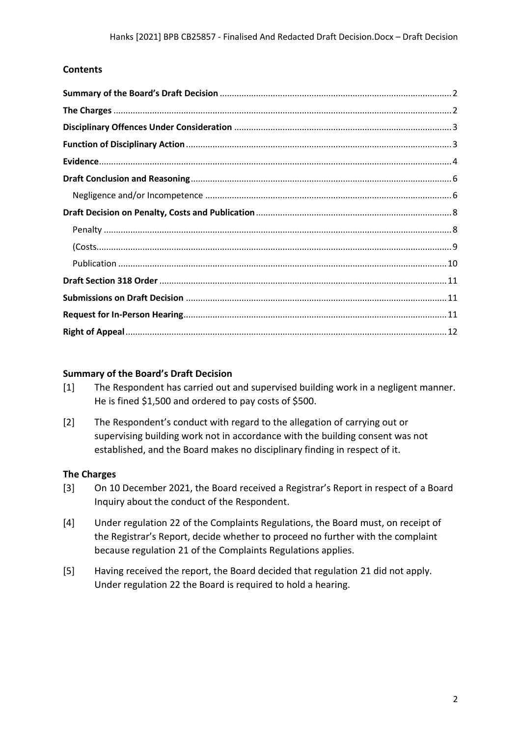### **Contents**

#### <span id="page-1-0"></span>**Summary of the Board's Draft Decision**

- [1] The Respondent has carried out and supervised building work in a negligent manner. He is fined \$1,500 and ordered to pay costs of \$500.
- [2] The Respondent's conduct with regard to the allegation of carrying out or supervising building work not in accordance with the building consent was not established, and the Board makes no disciplinary finding in respect of it.

#### <span id="page-1-1"></span>**The Charges**

- [3] On 10 December 2021, the Board received a Registrar's Report in respect of a Board Inquiry about the conduct of the Respondent.
- [4] Under regulation 22 of the Complaints Regulations, the Board must, on receipt of the Registrar's Report, decide whether to proceed no further with the complaint because regulation 21 of the Complaints Regulations applies.
- [5] Having received the report, the Board decided that regulation 21 did not apply. Under regulation 22 the Board is required to hold a hearing.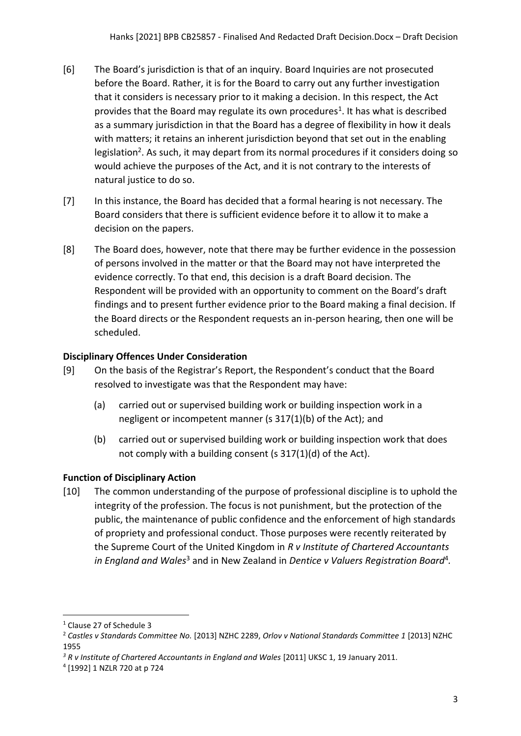- [6] The Board's jurisdiction is that of an inquiry. Board Inquiries are not prosecuted before the Board. Rather, it is for the Board to carry out any further investigation that it considers is necessary prior to it making a decision. In this respect, the Act provides that the Board may regulate its own procedures<sup>1</sup>. It has what is described as a summary jurisdiction in that the Board has a degree of flexibility in how it deals with matters; it retains an inherent jurisdiction beyond that set out in the enabling legislation<sup>2</sup>. As such, it may depart from its normal procedures if it considers doing so would achieve the purposes of the Act, and it is not contrary to the interests of natural justice to do so.
- [7] In this instance, the Board has decided that a formal hearing is not necessary. The Board considers that there is sufficient evidence before it to allow it to make a decision on the papers.
- [8] The Board does, however, note that there may be further evidence in the possession of persons involved in the matter or that the Board may not have interpreted the evidence correctly. To that end, this decision is a draft Board decision. The Respondent will be provided with an opportunity to comment on the Board's draft findings and to present further evidence prior to the Board making a final decision. If the Board directs or the Respondent requests an in-person hearing, then one will be scheduled.

## <span id="page-2-0"></span>**Disciplinary Offences Under Consideration**

- [9] On the basis of the Registrar's Report, the Respondent's conduct that the Board resolved to investigate was that the Respondent may have:
	- (a) carried out or supervised building work or building inspection work in a negligent or incompetent manner (s 317(1)(b) of the Act); and
	- (b) carried out or supervised building work or building inspection work that does not comply with a building consent (s 317(1)(d) of the Act).

# <span id="page-2-1"></span>**Function of Disciplinary Action**

[10] The common understanding of the purpose of professional discipline is to uphold the integrity of the profession. The focus is not punishment, but the protection of the public, the maintenance of public confidence and the enforcement of high standards of propriety and professional conduct. Those purposes were recently reiterated by the Supreme Court of the United Kingdom in *R v Institute of Chartered Accountants*  in England and Wales<sup>3</sup> and in New Zealand in Dentice v Valuers Registration Board<sup>4</sup>.

<sup>1</sup> Clause 27 of Schedule 3

<sup>2</sup> *Castles v Standards Committee No.* [2013] NZHC 2289, *Orlov v National Standards Committee 1* [2013] NZHC 1955

<sup>&</sup>lt;sup>3</sup> R v Institute of Chartered Accountants in England and Wales [2011] UKSC 1, 19 January 2011.

<sup>4</sup> [1992] 1 NZLR 720 at p 724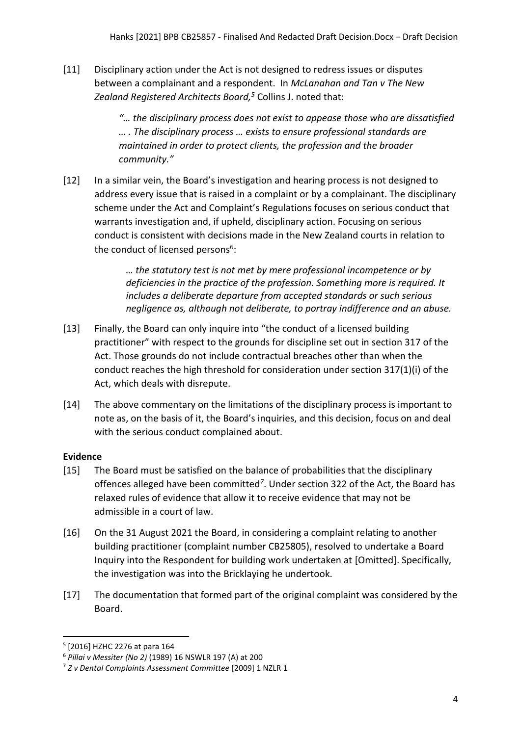[11] Disciplinary action under the Act is not designed to redress issues or disputes between a complainant and a respondent. In *McLanahan and Tan v The New Zealand Registered Architects Board,<sup>5</sup>* Collins J. noted that:

> *"… the disciplinary process does not exist to appease those who are dissatisfied … . The disciplinary process … exists to ensure professional standards are maintained in order to protect clients, the profession and the broader community."*

[12] In a similar vein, the Board's investigation and hearing process is not designed to address every issue that is raised in a complaint or by a complainant. The disciplinary scheme under the Act and Complaint's Regulations focuses on serious conduct that warrants investigation and, if upheld, disciplinary action. Focusing on serious conduct is consistent with decisions made in the New Zealand courts in relation to the conduct of licensed persons<sup>6</sup>:

> *… the statutory test is not met by mere professional incompetence or by deficiencies in the practice of the profession. Something more is required. It includes a deliberate departure from accepted standards or such serious negligence as, although not deliberate, to portray indifference and an abuse.*

- [13] Finally, the Board can only inquire into "the conduct of a licensed building practitioner" with respect to the grounds for discipline set out in section 317 of the Act. Those grounds do not include contractual breaches other than when the conduct reaches the high threshold for consideration under section 317(1)(i) of the Act, which deals with disrepute.
- [14] The above commentary on the limitations of the disciplinary process is important to note as, on the basis of it, the Board's inquiries, and this decision, focus on and deal with the serious conduct complained about.

# <span id="page-3-0"></span>**Evidence**

- [15] The Board must be satisfied on the balance of probabilities that the disciplinary offences alleged have been committed*<sup>7</sup>* . Under section 322 of the Act, the Board has relaxed rules of evidence that allow it to receive evidence that may not be admissible in a court of law.
- [16] On the 31 August 2021 the Board, in considering a complaint relating to another building practitioner (complaint number CB25805), resolved to undertake a Board Inquiry into the Respondent for building work undertaken at [Omitted]. Specifically, the investigation was into the Bricklaying he undertook.
- [17] The documentation that formed part of the original complaint was considered by the Board.

<sup>5</sup> [2016] HZHC 2276 at para 164

<sup>6</sup> *Pillai v Messiter (No 2)* (1989) 16 NSWLR 197 (A) at 200

<sup>7</sup> *Z v Dental Complaints Assessment Committee* [2009] 1 NZLR 1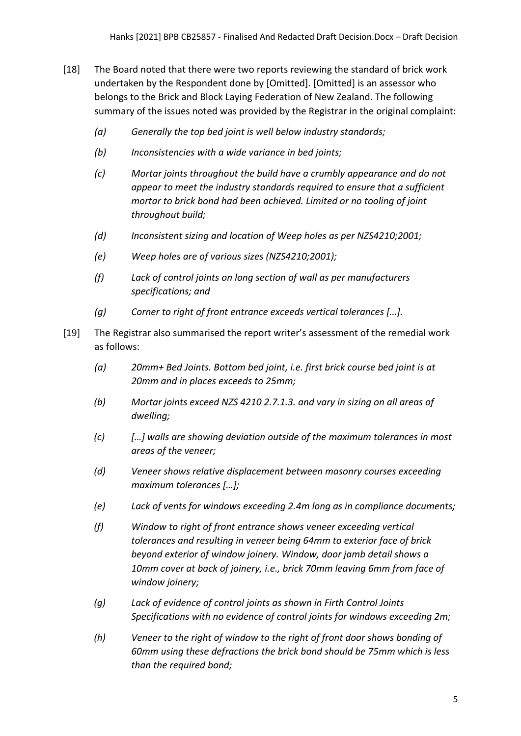- [18] The Board noted that there were two reports reviewing the standard of brick work undertaken by the Respondent done by [Omitted]. [Omitted] is an assessor who belongs to the Brick and Block Laying Federation of New Zealand. The following summary of the issues noted was provided by the Registrar in the original complaint:
	- *(a) Generally the top bed joint is well below industry standards;*
	- *(b) Inconsistencies with a wide variance in bed joints;*
	- *(c) Mortar joints throughout the build have a crumbly appearance and do not appear to meet the industry standards required to ensure that a sufficient mortar to brick bond had been achieved. Limited or no tooling of joint throughout build;*
	- *(d) Inconsistent sizing and location of Weep holes as per NZS4210;2001;*
	- *(e) Weep holes are of various sizes (NZS4210;2001);*
	- *(f) Lack of control joints on long section of wall as per manufacturers specifications; and*
	- *(g) Corner to right of front entrance exceeds vertical tolerances […].*
- [19] The Registrar also summarised the report writer's assessment of the remedial work as follows:
	- *(a) 20mm+ Bed Joints. Bottom bed joint, i.e. first brick course bed joint is at 20mm and in places exceeds to 25mm;*
	- *(b) Mortar joints exceed NZS 4210 2.7.1.3. and vary in sizing on all areas of dwelling;*
	- *(c) […] walls are showing deviation outside of the maximum tolerances in most areas of the veneer;*
	- *(d) Veneer shows relative displacement between masonry courses exceeding maximum tolerances […];*
	- *(e) Lack of vents for windows exceeding 2.4m long as in compliance documents;*
	- *(f) Window to right of front entrance shows veneer exceeding vertical tolerances and resulting in veneer being 64mm to exterior face of brick beyond exterior of window joinery. Window, door jamb detail shows a 10mm cover at back of joinery, i.e., brick 70mm leaving 6mm from face of window joinery;*
	- *(g) Lack of evidence of control joints as shown in Firth Control Joints Specifications with no evidence of control joints for windows exceeding 2m;*
	- *(h) Veneer to the right of window to the right of front door shows bonding of 60mm using these defractions the brick bond should be 75mm which is less than the required bond;*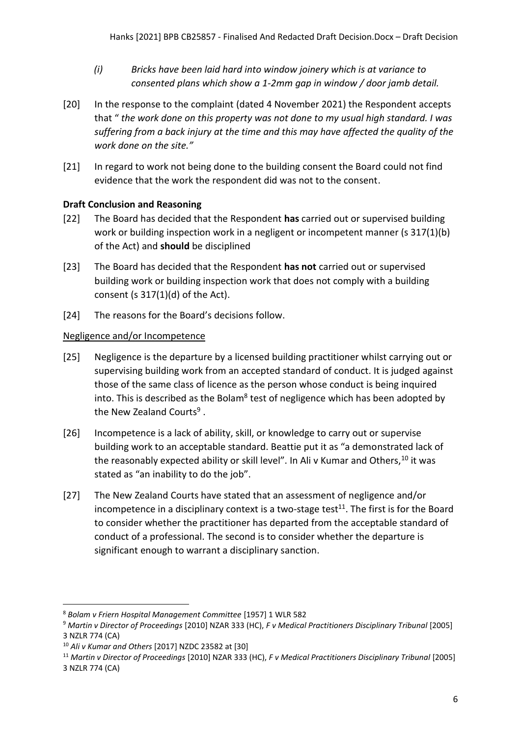- *(i) Bricks have been laid hard into window joinery which is at variance to consented plans which show a 1-2mm gap in window / door jamb detail.*
- [20] In the response to the complaint (dated 4 November 2021) the Respondent accepts that " *the work done on this property was not done to my usual high standard. I was suffering from a back injury at the time and this may have affected the quality of the work done on the site."*
- [21] In regard to work not being done to the building consent the Board could not find evidence that the work the respondent did was not to the consent.

# <span id="page-5-0"></span>**Draft Conclusion and Reasoning**

- [22] The Board has decided that the Respondent **has** carried out or supervised building work or building inspection work in a negligent or incompetent manner (s 317(1)(b) of the Act) and **should** be disciplined
- [23] The Board has decided that the Respondent **has not** carried out or supervised building work or building inspection work that does not comply with a building consent (s  $317(1)(d)$  of the Act).
- [24] The reasons for the Board's decisions follow.

# <span id="page-5-1"></span>Negligence and/or Incompetence

- [25] Negligence is the departure by a licensed building practitioner whilst carrying out or supervising building work from an accepted standard of conduct. It is judged against those of the same class of licence as the person whose conduct is being inquired into. This is described as the Bolam<sup>8</sup> test of negligence which has been adopted by the New Zealand Courts<sup>9</sup>.
- [26] Incompetence is a lack of ability, skill, or knowledge to carry out or supervise building work to an acceptable standard. Beattie put it as "a demonstrated lack of the reasonably expected ability or skill level". In Ali v Kumar and Others,  $10$  it was stated as "an inability to do the job".
- [27] The New Zealand Courts have stated that an assessment of negligence and/or incompetence in a disciplinary context is a two-stage test $^{11}$ . The first is for the Board to consider whether the practitioner has departed from the acceptable standard of conduct of a professional. The second is to consider whether the departure is significant enough to warrant a disciplinary sanction.

<sup>8</sup> *Bolam v Friern Hospital Management Committee* [1957] 1 WLR 582

<sup>9</sup> *Martin v Director of Proceedings* [2010] NZAR 333 (HC), *F v Medical Practitioners Disciplinary Tribunal* [2005] 3 NZLR 774 (CA)

<sup>10</sup> *Ali v Kumar and Others* [2017] NZDC 23582 at [30]

<sup>11</sup> *Martin v Director of Proceedings* [2010] NZAR 333 (HC), *F v Medical Practitioners Disciplinary Tribunal* [2005] 3 NZLR 774 (CA)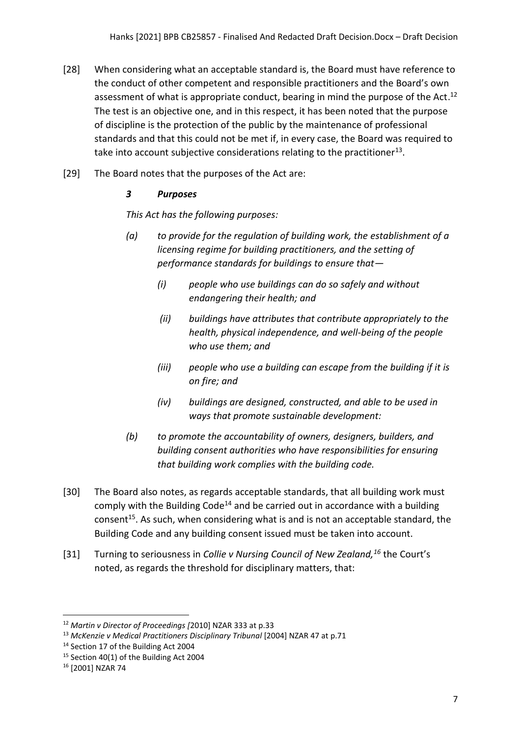- [28] When considering what an acceptable standard is, the Board must have reference to the conduct of other competent and responsible practitioners and the Board's own assessment of what is appropriate conduct, bearing in mind the purpose of the Act.<sup>12</sup> The test is an objective one, and in this respect, it has been noted that the purpose of discipline is the protection of the public by the maintenance of professional standards and that this could not be met if, in every case, the Board was required to take into account subjective considerations relating to the practitioner<sup>13</sup>.
- [29] The Board notes that the purposes of the Act are:

## *3 Purposes*

*This Act has the following purposes:*

- *(a) to provide for the regulation of building work, the establishment of a licensing regime for building practitioners, and the setting of performance standards for buildings to ensure that—*
	- *(i) people who use buildings can do so safely and without endangering their health; and*
	- *(ii) buildings have attributes that contribute appropriately to the health, physical independence, and well-being of the people who use them; and*
	- *(iii) people who use a building can escape from the building if it is on fire; and*
	- *(iv) buildings are designed, constructed, and able to be used in ways that promote sustainable development:*
- *(b) to promote the accountability of owners, designers, builders, and building consent authorities who have responsibilities for ensuring that building work complies with the building code.*
- [30] The Board also notes, as regards acceptable standards, that all building work must comply with the Building Code<sup>14</sup> and be carried out in accordance with a building consent<sup>15</sup>. As such, when considering what is and is not an acceptable standard, the Building Code and any building consent issued must be taken into account.
- [31] Turning to seriousness in *Collie v Nursing Council of New Zealand,<sup>16</sup>* the Court's noted, as regards the threshold for disciplinary matters, that:

<sup>12</sup> *Martin v Director of Proceedings [*2010] NZAR 333 at p.33

<sup>13</sup> *McKenzie v Medical Practitioners Disciplinary Tribunal* [2004] NZAR 47 at p.71

<sup>&</sup>lt;sup>14</sup> Section 17 of the Building Act 2004

<sup>&</sup>lt;sup>15</sup> Section 40(1) of the Building Act 2004

<sup>16</sup> [2001] NZAR 74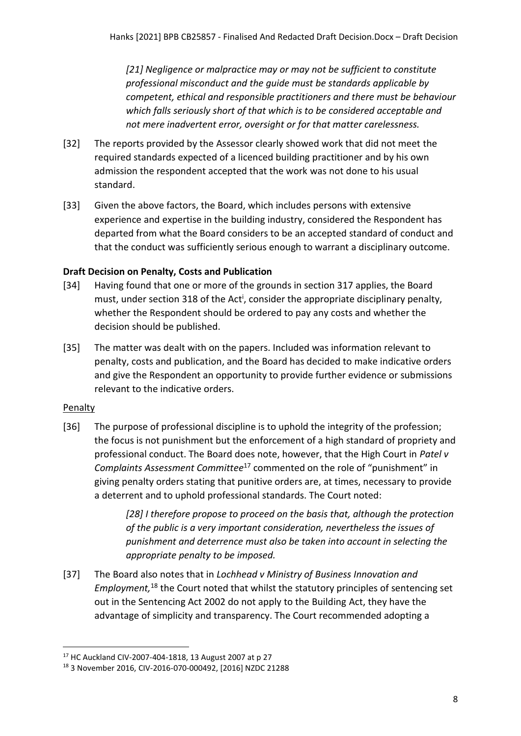*[21] Negligence or malpractice may or may not be sufficient to constitute professional misconduct and the guide must be standards applicable by competent, ethical and responsible practitioners and there must be behaviour which falls seriously short of that which is to be considered acceptable and not mere inadvertent error, oversight or for that matter carelessness.*

- [32] The reports provided by the Assessor clearly showed work that did not meet the required standards expected of a licenced building practitioner and by his own admission the respondent accepted that the work was not done to his usual standard.
- [33] Given the above factors, the Board, which includes persons with extensive experience and expertise in the building industry, considered the Respondent has departed from what the Board considers to be an accepted standard of conduct and that the conduct was sufficiently serious enough to warrant a disciplinary outcome.

# <span id="page-7-0"></span>**Draft Decision on Penalty, Costs and Publication**

- [34] Having found that one or more of the grounds in section 317 applies, the Board must, under section 318 of the Act<sup>i</sup>, consider the appropriate disciplinary penalty, whether the Respondent should be ordered to pay any costs and whether the decision should be published.
- [35] The matter was dealt with on the papers. Included was information relevant to penalty, costs and publication, and the Board has decided to make indicative orders and give the Respondent an opportunity to provide further evidence or submissions relevant to the indicative orders.

# <span id="page-7-1"></span>Penalty

[36] The purpose of professional discipline is to uphold the integrity of the profession; the focus is not punishment but the enforcement of a high standard of propriety and professional conduct. The Board does note, however, that the High Court in *Patel v Complaints Assessment Committee*<sup>17</sup> commented on the role of "punishment" in giving penalty orders stating that punitive orders are, at times, necessary to provide a deterrent and to uphold professional standards. The Court noted:

> *[28] I therefore propose to proceed on the basis that, although the protection of the public is a very important consideration, nevertheless the issues of punishment and deterrence must also be taken into account in selecting the appropriate penalty to be imposed.*

[37] The Board also notes that in *Lochhead v Ministry of Business Innovation and Employment,*<sup>18</sup> the Court noted that whilst the statutory principles of sentencing set out in the Sentencing Act 2002 do not apply to the Building Act, they have the advantage of simplicity and transparency. The Court recommended adopting a

<sup>17</sup> HC Auckland CIV-2007-404-1818, 13 August 2007 at p 27

<sup>18</sup> 3 November 2016, CIV-2016-070-000492, [2016] NZDC 21288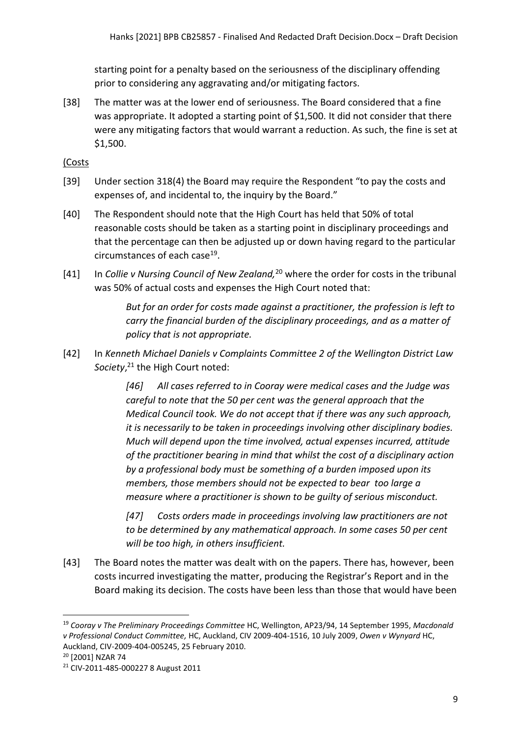starting point for a penalty based on the seriousness of the disciplinary offending prior to considering any aggravating and/or mitigating factors.

[38] The matter was at the lower end of seriousness. The Board considered that a fine was appropriate. It adopted a starting point of \$1,500. It did not consider that there were any mitigating factors that would warrant a reduction. As such, the fine is set at \$1,500.

<span id="page-8-0"></span>(Costs

- [39] Under section 318(4) the Board may require the Respondent "to pay the costs and expenses of, and incidental to, the inquiry by the Board."
- [40] The Respondent should note that the High Court has held that 50% of total reasonable costs should be taken as a starting point in disciplinary proceedings and that the percentage can then be adjusted up or down having regard to the particular circumstances of each case<sup>19</sup>.
- [41] In *Collie v Nursing Council of New Zealand,*<sup>20</sup> where the order for costs in the tribunal was 50% of actual costs and expenses the High Court noted that:

*But for an order for costs made against a practitioner, the profession is left to carry the financial burden of the disciplinary proceedings, and as a matter of policy that is not appropriate.*

[42] In *Kenneth Michael Daniels v Complaints Committee 2 of the Wellington District Law Society*, <sup>21</sup> the High Court noted:

> *[46] All cases referred to in Cooray were medical cases and the Judge was careful to note that the 50 per cent was the general approach that the Medical Council took. We do not accept that if there was any such approach, it is necessarily to be taken in proceedings involving other disciplinary bodies. Much will depend upon the time involved, actual expenses incurred, attitude of the practitioner bearing in mind that whilst the cost of a disciplinary action by a professional body must be something of a burden imposed upon its members, those members should not be expected to bear too large a measure where a practitioner is shown to be guilty of serious misconduct.*

*[47] Costs orders made in proceedings involving law practitioners are not to be determined by any mathematical approach. In some cases 50 per cent will be too high, in others insufficient.*

[43] The Board notes the matter was dealt with on the papers. There has, however, been costs incurred investigating the matter, producing the Registrar's Report and in the Board making its decision. The costs have been less than those that would have been

<sup>19</sup> *Cooray v The Preliminary Proceedings Committee* HC, Wellington, AP23/94, 14 September 1995, *Macdonald v Professional Conduct Committee,* HC, Auckland, CIV 2009-404-1516, 10 July 2009, *Owen v Wynyard* HC, Auckland, CIV-2009-404-005245, 25 February 2010.

<sup>20</sup> [2001] NZAR 74

<sup>21</sup> CIV-2011-485-000227 8 August 2011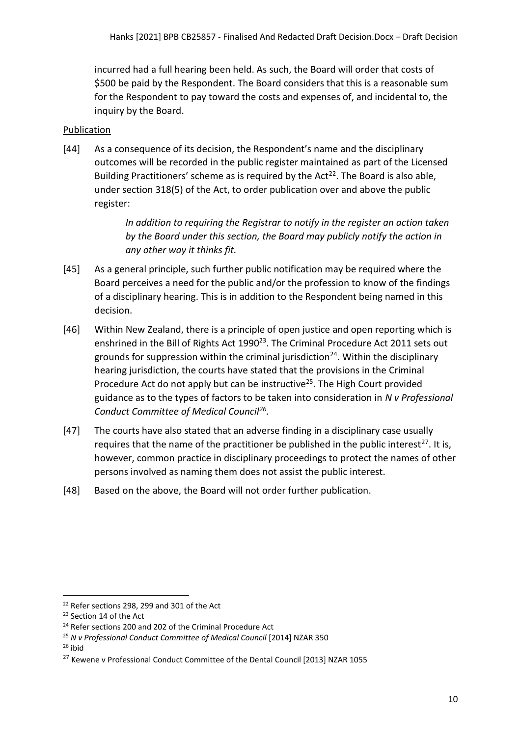incurred had a full hearing been held. As such, the Board will order that costs of \$500 be paid by the Respondent. The Board considers that this is a reasonable sum for the Respondent to pay toward the costs and expenses of, and incidental to, the inquiry by the Board.

# <span id="page-9-0"></span>Publication

[44] As a consequence of its decision, the Respondent's name and the disciplinary outcomes will be recorded in the public register maintained as part of the Licensed Building Practitioners' scheme as is required by the Act<sup>22</sup>. The Board is also able, under section 318(5) of the Act, to order publication over and above the public register:

> *In addition to requiring the Registrar to notify in the register an action taken by the Board under this section, the Board may publicly notify the action in any other way it thinks fit.*

- [45] As a general principle, such further public notification may be required where the Board perceives a need for the public and/or the profession to know of the findings of a disciplinary hearing. This is in addition to the Respondent being named in this decision.
- [46] Within New Zealand, there is a principle of open justice and open reporting which is enshrined in the Bill of Rights Act 1990<sup>23</sup>. The Criminal Procedure Act 2011 sets out grounds for suppression within the criminal jurisdiction<sup>24</sup>. Within the disciplinary hearing jurisdiction, the courts have stated that the provisions in the Criminal Procedure Act do not apply but can be instructive<sup>25</sup>. The High Court provided guidance as to the types of factors to be taken into consideration in *N v Professional Conduct Committee of Medical Council<sup>26</sup> .*
- [47] The courts have also stated that an adverse finding in a disciplinary case usually requires that the name of the practitioner be published in the public interest<sup>27</sup>. It is, however, common practice in disciplinary proceedings to protect the names of other persons involved as naming them does not assist the public interest.
- [48] Based on the above, the Board will not order further publication.

 $26$  ibid

<sup>&</sup>lt;sup>22</sup> Refer sections 298, 299 and 301 of the Act

<sup>&</sup>lt;sup>23</sup> Section 14 of the Act

<sup>&</sup>lt;sup>24</sup> Refer sections 200 and 202 of the Criminal Procedure Act

<sup>25</sup> *N v Professional Conduct Committee of Medical Council* [2014] NZAR 350

<sup>&</sup>lt;sup>27</sup> Kewene v Professional Conduct Committee of the Dental Council [2013] NZAR 1055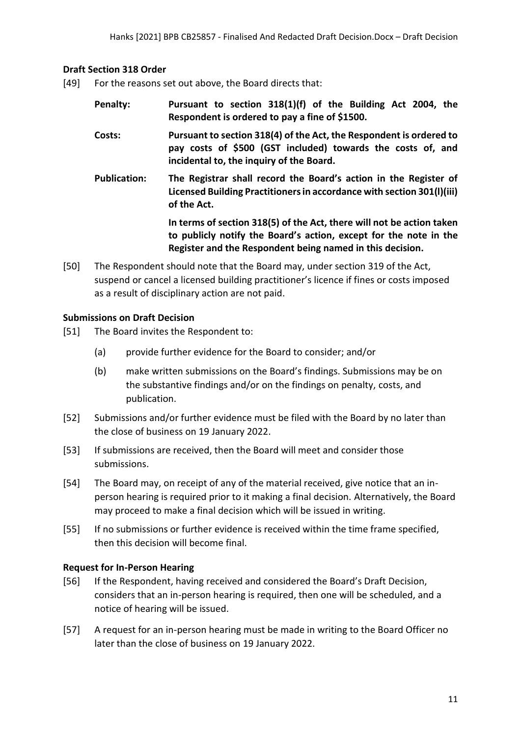### <span id="page-10-0"></span>**Draft Section 318 Order**

- [49] For the reasons set out above, the Board directs that:
	- **Penalty: Pursuant to section 318(1)(f) of the Building Act 2004, the Respondent is ordered to pay a fine of \$1500.**
	- **Costs: Pursuant to section 318(4) of the Act, the Respondent is ordered to pay costs of \$500 (GST included) towards the costs of, and incidental to, the inquiry of the Board.**
	- **Publication: The Registrar shall record the Board's action in the Register of Licensed Building Practitioners in accordance with section 301(l)(iii) of the Act.**

**In terms of section 318(5) of the Act, there will not be action taken to publicly notify the Board's action, except for the note in the Register and the Respondent being named in this decision.**

[50] The Respondent should note that the Board may, under section 319 of the Act, suspend or cancel a licensed building practitioner's licence if fines or costs imposed as a result of disciplinary action are not paid.

### <span id="page-10-1"></span>**Submissions on Draft Decision**

- [51] The Board invites the Respondent to:
	- (a) provide further evidence for the Board to consider; and/or
	- (b) make written submissions on the Board's findings. Submissions may be on the substantive findings and/or on the findings on penalty, costs, and publication.
- [52] Submissions and/or further evidence must be filed with the Board by no later than the close of business on 19 January 2022.
- [53] If submissions are received, then the Board will meet and consider those submissions.
- [54] The Board may, on receipt of any of the material received, give notice that an inperson hearing is required prior to it making a final decision. Alternatively, the Board may proceed to make a final decision which will be issued in writing.
- [55] If no submissions or further evidence is received within the time frame specified, then this decision will become final.

## <span id="page-10-2"></span>**Request for In-Person Hearing**

- [56] If the Respondent, having received and considered the Board's Draft Decision, considers that an in-person hearing is required, then one will be scheduled, and a notice of hearing will be issued.
- [57] A request for an in-person hearing must be made in writing to the Board Officer no later than the close of business on 19 January 2022.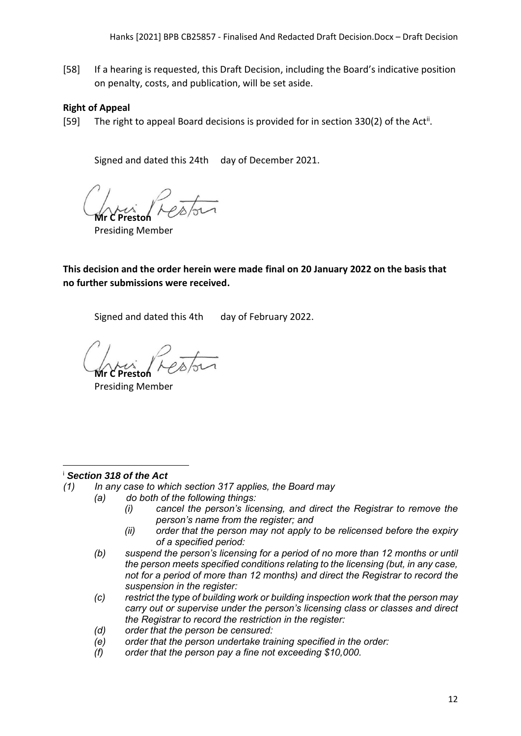[58] If a hearing is requested, this Draft Decision, including the Board's indicative position on penalty, costs, and publication, will be set aside.

## <span id="page-11-0"></span>**Right of Appeal**

[59] The right to appeal Board decisions is provided for in section 330(2) of the Act<sup>ii</sup>.

Signed and dated this 24th day of December 2021.

**Mr C Preston**

Presiding Member

**This decision and the order herein were made final on 20 January 2022 on the basis that no further submissions were received.**

Signed and dated this 4th day of February 2022.

**Mr C Preston**

Presiding Member

## <sup>i</sup> *Section 318 of the Act*

*(1) In any case to which section 317 applies, the Board may*

- *(a) do both of the following things:*
	- *(i) cancel the person's licensing, and direct the Registrar to remove the person's name from the register; and*
	- *(ii) order that the person may not apply to be relicensed before the expiry of a specified period:*
	- *(b) suspend the person's licensing for a period of no more than 12 months or until the person meets specified conditions relating to the licensing (but, in any case, not for a period of more than 12 months) and direct the Registrar to record the suspension in the register:*
	- *(c) restrict the type of building work or building inspection work that the person may carry out or supervise under the person's licensing class or classes and direct the Registrar to record the restriction in the register:*
	- *(d) order that the person be censured:*
	- *(e) order that the person undertake training specified in the order:*
	- *(f) order that the person pay a fine not exceeding \$10,000.*